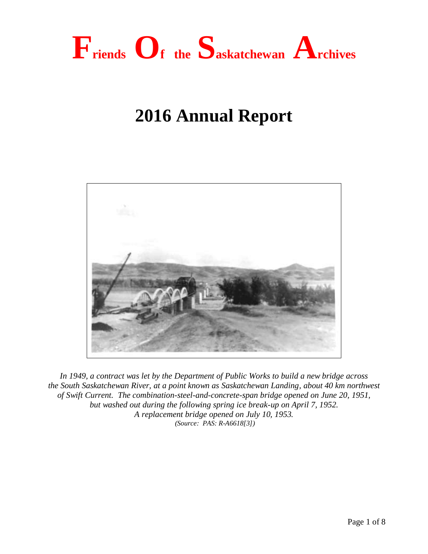

# **2016 Annual Report**



*In 1949, a contract was let by the Department of Public Works to build a new bridge across the South Saskatchewan River, at a point known as Saskatchewan Landing, about 40 km northwest of Swift Current. The combination-steel-and-concrete-span bridge opened on June 20, 1951, but washed out during the following spring ice break-up on April 7, 1952. A replacement bridge opened on July 10, 1953. (Source: PAS: R-A6618[3])*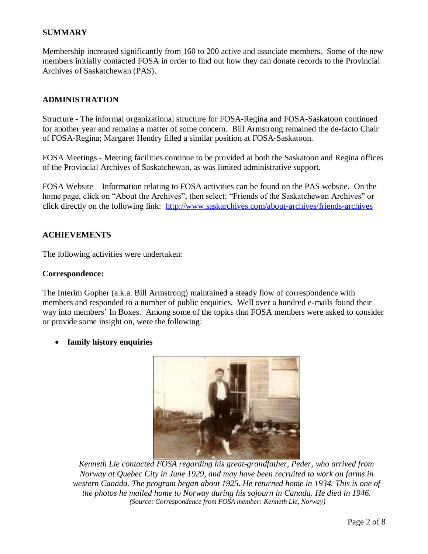## **SUMMARY**

Membership increased significantly from 160 to 200 active and associate members. Some of the new members initially contacted FOSA in order to find out how they can donate records to the Provincial Archives of Saskatchewan (PAS).

### **ADMINISTRATION**

Structure - The informal organizational structure for FOSA-Regina and FOSA-Saskatoon continued for another year and remains a matter of some concern. Bill Armstrong remained the de-facto Chair of FOSA-Regina; Margaret Hendry filled a similar position at FOSA-Saskatoon.

FOSA Meetings - Meeting facilities continue to be provided at both the Saskatoon and Regina offices of the Provincial Archives of Saskatchewan, as was limited administrative support.

FOSA Website – Information relating to FOSA activities can be found on the PAS website. On the home page, click on "About the Archives", then select: "Friends of the Saskatchewan Archives" or click directly on the following link: <http://www.saskarchives.com/about-archives/friends-archives>

#### **ACHIEVEMENTS**

The following activities were undertaken:

#### **Correspondence:**

The Interim Gopher (a.k.a. Bill Armstrong) maintained a steady flow of correspondence with members and responded to a number of public enquiries. Well over a hundred e-mails found their way into members' In Boxes. Among some of the topics that FOSA members were asked to consider or provide some insight on, were the following:

**family history enquiries**



*Kenneth Lie contacted FOSA regarding his great-grandfather, Peder, who arrived from Norway at Quebec City in June 1929, and may have been recruited to work on farms in western Canada. The program began about 1925. He returned home in 1934. This is one of the photos he mailed home to Norway during his sojourn in Canada. He died in 1946. (Source: Correspondence from FOSA member: Kenneth Lie, Norway)*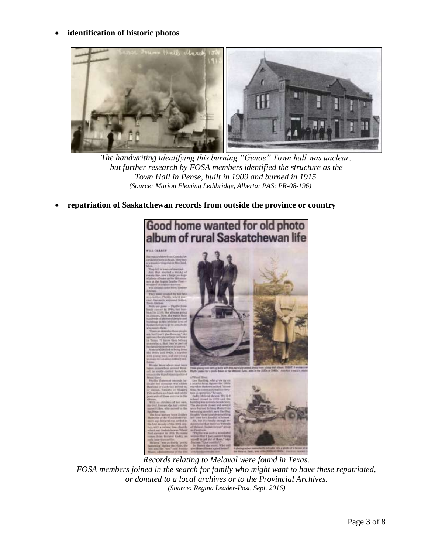## **identification of historic photos**



*The handwriting identifying this burning "Genoe" Town hall was unclear; but further research by FOSA members identified the structure as the Town Hall in Pense, built in 1909 and burned in 1915. (Source: Marion Fleming Lethbridge, Alberta; PAS: PR-08-196)*

**repatriation of Saskatchewan records from outside the province or country**



*Records relating to Melaval were found in Texas. FOSA members joined in the search for family who might want to have these repatriated, or donated to a local archives or to the Provincial Archives. (Source: Regina Leader-Post, Sept. 2016)*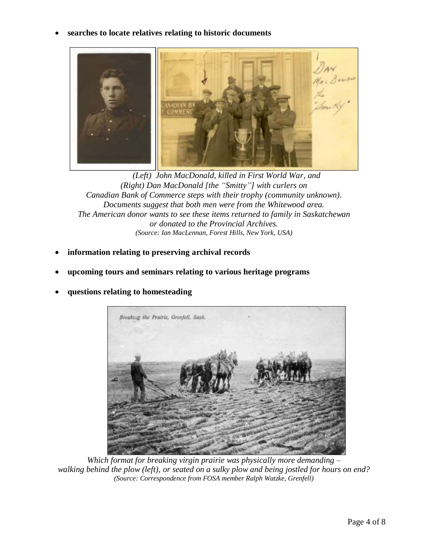**searches to locate relatives relating to historic documents**



*(Left) John MacDonald, killed in First World War, and (Right) Dan MacDonald [the "Smitty"] with curlers on Canadian Bank of Commerce steps with their trophy (community unknown). Documents suggest that both men were from the Whitewood area. The American donor wants to see these items returned to family in Saskatchewan or donated to the Provincial Archives. (Source: Ian MacLennan, Forest Hills, New York, USA)*

- **information relating to preserving archival records**
- **upcoming tours and seminars relating to various heritage programs**



**questions relating to homesteading**

*Which format for breaking virgin prairie was physically more demanding – walking behind the plow (left), or seated on a sulky plow and being jostled for hours on end? (Source: Correspondence from FOSA member Ralph Watzke, Grenfell)*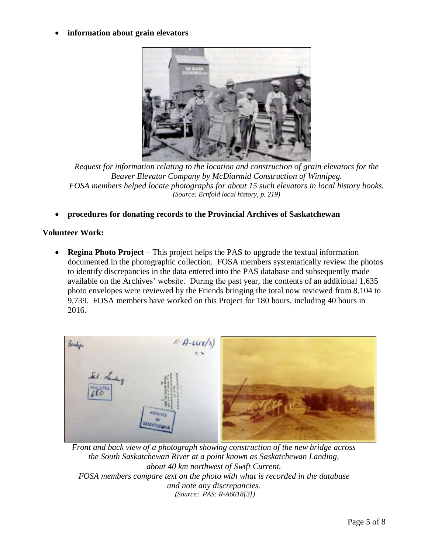## **information about grain elevators**



*Request for information relating to the location and construction of grain elevators for the Beaver Elevator Company by McDiarmid Construction of Winnipeg. FOSA members helped locate photographs for about 15 such elevators in local history books. (Source: Ernfold local history, p. 219)*

**procedures for donating records to the Provincial Archives of Saskatchewan**

## **Volunteer Work:**

 **Regina Photo Project** – This project helps the PAS to upgrade the textual information documented in the photographic collection. FOSA members systematically review the photos to identify discrepancies in the data entered into the PAS database and subsequently made available on the Archives' website. During the past year, the contents of an additional 1,635 photo envelopes were reviewed by the Friends bringing the total now reviewed from 8,104 to 9,739. FOSA members have worked on this Project for 180 hours, including 40 hours in 2016.



*Front and back view of a photograph showing construction of the new bridge across the South Saskatchewan River at a point known as Saskatchewan Landing, about 40 km northwest of Swift Current. FOSA members compare text on the photo with what is recorded in the database and note any discrepancies. (Source: PAS: R-A6618[3])*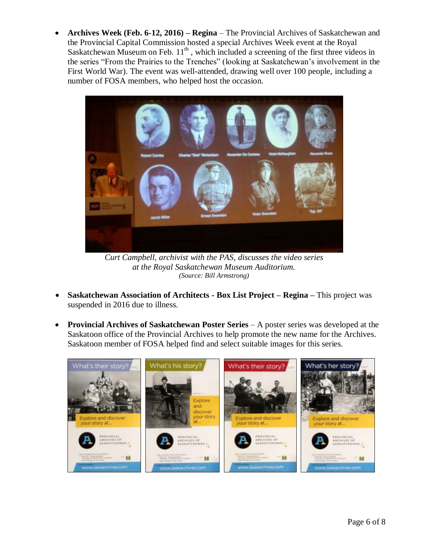**Archives Week (Feb. 6-12, 2016) – Regina** – The Provincial Archives of Saskatchewan and the Provincial Capital Commission hosted a special Archives Week event at the Royal Saskatchewan Museum on Feb.  $11<sup>th</sup>$ , which included a screening of the first three videos in the series "From the Prairies to the Trenches" (looking at Saskatchewan's involvement in the First World War). The event was well-attended, drawing well over 100 people, including a number of FOSA members, who helped host the occasion.



*Curt Campbell, archivist with the PAS, discusses the video series at the Royal Saskatchewan Museum Auditorium. (Source: Bill Armstrong)*

- **Saskatchewan Association of Architects - Box List Project – Regina –** This project was suspended in 2016 due to illness.
- **Provincial Archives of Saskatchewan Poster Series** A poster series was developed at the Saskatoon office of the Provincial Archives to help promote the new name for the Archives. Saskatoon member of FOSA helped find and select suitable images for this series.

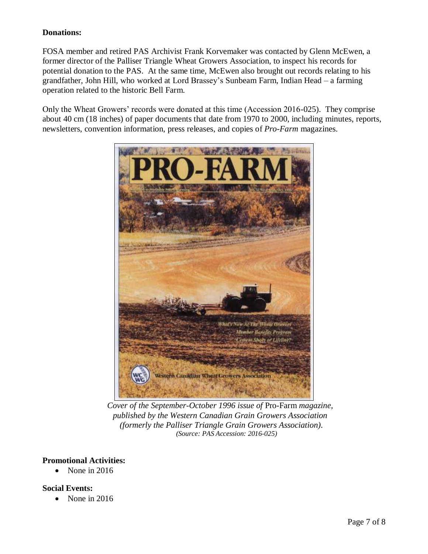# **Donations:**

FOSA member and retired PAS Archivist Frank Korvemaker was contacted by Glenn McEwen, a former director of the Palliser Triangle Wheat Growers Association, to inspect his records for potential donation to the PAS. At the same time, McEwen also brought out records relating to his grandfather, John Hill, who worked at Lord Brassey's Sunbeam Farm, Indian Head – a farming operation related to the historic Bell Farm.

Only the Wheat Growers' records were donated at this time (Accession 2016-025). They comprise about 40 cm (18 inches) of paper documents that date from 1970 to 2000, including minutes, reports, newsletters, convention information, press releases, and copies of *Pro-Farm* magazines.



*Cover of the September-October 1996 issue of* Pro-Farm *magazine, published by the Western Canadian Grain Growers Association (formerly the Palliser Triangle Grain Growers Association). (Source: PAS Accession: 2016-025)*

## **Promotional Activities:**

 $\bullet$  None in 2016

## **Social Events:**

• None in 2016